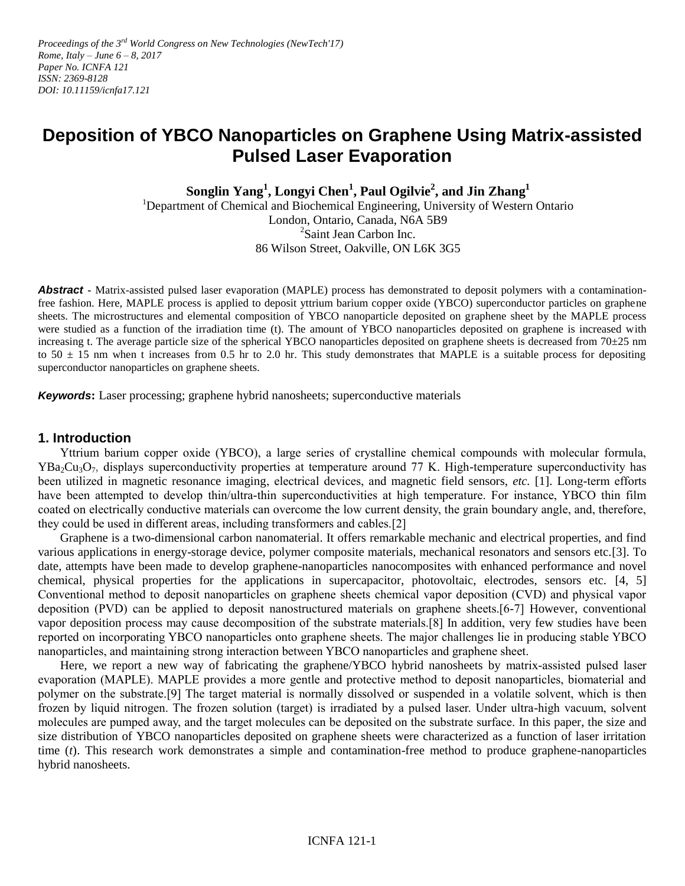Proceedings of the 3<sup>rd</sup> World Congress on New Technologies (NewTech'17) *Rome, Italy – June 6 – 8, 2017 Paper No. ICNFA 121 ISSN: 2369-8128 DOI: 10.11159/icnfa17.121*

# **Deposition of YBCO Nanoparticles on Graphene Using Matrix-assisted Pulsed Laser Evaporation**

**Songlin Yang<sup>1</sup> , Longyi Chen<sup>1</sup> , Paul Ogilvie<sup>2</sup> , and Jin Zhang<sup>1</sup>**

<sup>1</sup>Department of Chemical and Biochemical Engineering, University of Western Ontario London, Ontario, Canada, N6A 5B9 <sup>2</sup>Saint Jean Carbon Inc. 86 Wilson Street, Oakville, ON L6K 3G5

**Abstract -** Matrix-assisted pulsed laser evaporation (MAPLE) process has demonstrated to deposit polymers with a contaminationfree fashion. Here, MAPLE process is applied to deposit yttrium barium copper oxide (YBCO) superconductor particles on graphene sheets. The microstructures and elemental composition of YBCO nanoparticle deposited on graphene sheet by the MAPLE process were studied as a function of the irradiation time (t). The amount of YBCO nanoparticles deposited on graphene is increased with increasing t. The average particle size of the spherical YBCO nanoparticles deposited on graphene sheets is decreased from  $70\pm25$  nm to  $50 \pm 15$  nm when t increases from 0.5 hr to 2.0 hr. This study demonstrates that MAPLE is a suitable process for depositing superconductor nanoparticles on graphene sheets.

*Keywords***:** Laser processing; graphene hybrid nanosheets; superconductive materials

#### **1. Introduction**

Yttrium barium copper oxide (YBCO), a large series of crystalline chemical compounds with molecular formula,  $YBa_2Cu_3O_7$ , displays superconductivity properties at temperature around 77 K. High-temperature superconductivity has been utilized in magnetic resonance imaging, electrical devices, and magnetic field sensors, *etc.* [1]. Long-term efforts have been attempted to develop thin/ultra-thin superconductivities at high temperature. For instance, YBCO thin film coated on electrically conductive materials can overcome the low current density, the grain boundary angle, and, therefore, they could be used in different areas, including transformers and cables.[2]

Graphene is a two-dimensional carbon nanomaterial. It offers remarkable mechanic and electrical properties, and find various applications in energy-storage device, polymer composite materials, mechanical resonators and sensors etc.[3]. To date, attempts have been made to develop graphene-nanoparticles nanocomposites with enhanced performance and novel chemical, physical properties for the applications in supercapacitor, photovoltaic, electrodes, sensors etc. [4, 5] Conventional method to deposit nanoparticles on graphene sheets chemical vapor deposition (CVD) and physical vapor deposition (PVD) can be applied to deposit nanostructured materials on graphene sheets.[6-7] However, conventional vapor deposition process may cause decomposition of the substrate materials.[8] In addition, very few studies have been reported on incorporating YBCO nanoparticles onto graphene sheets. The major challenges lie in producing stable YBCO nanoparticles, and maintaining strong interaction between YBCO nanoparticles and graphene sheet.

Here, we report a new way of fabricating the graphene/YBCO hybrid nanosheets by matrix-assisted pulsed laser evaporation (MAPLE). MAPLE provides a more gentle and protective method to deposit nanoparticles, biomaterial and polymer on the substrate.[9] The target material is normally dissolved or suspended in a volatile solvent, which is then frozen by liquid nitrogen. The frozen solution (target) is irradiated by a pulsed laser. Under ultra-high vacuum, solvent molecules are pumped away, and the target molecules can be deposited on the substrate surface. In this paper, the size and size distribution of YBCO nanoparticles deposited on graphene sheets were characterized as a function of laser irritation time (*t*). This research work demonstrates a simple and contamination-free method to produce graphene-nanoparticles hybrid nanosheets.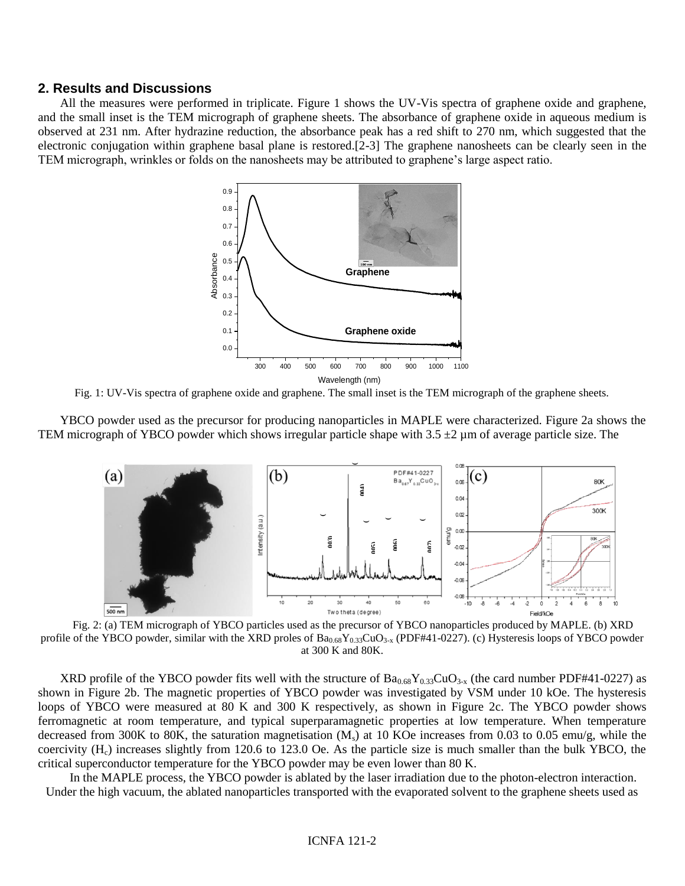#### **2. Results and Discussions**

All the measures were performed in triplicate. Figure 1 shows the UV-Vis spectra of graphene oxide and graphene, and the small inset is the TEM micrograph of graphene sheets. The absorbance of graphene oxide in aqueous medium is observed at 231 nm. After hydrazine reduction, the absorbance peak has a red shift to 270 nm, which suggested that the electronic conjugation within graphene basal plane is restored.[2-3] The graphene nanosheets can be clearly seen in the TEM micrograph, wrinkles or folds on the nanosheets may be attributed to graphene's large aspect ratio.



Fig. 1: UV-Vis spectra of graphene oxide and graphene. The small inset is the TEM micrograph of the graphene sheets.

YBCO powder used as the precursor for producing nanoparticles in MAPLE were characterized. Figure 2a shows the TEM micrograph of YBCO powder which shows irregular particle shape with  $3.5 \pm 2$  µm of average particle size. The



Fig. 2: (a) TEM micrograph of YBCO particles used as the precursor of YBCO nanoparticles produced by MAPLE. (b) XRD profile of the YBCO powder, similar with the XRD proles of  $Ba_{0.68}Y_{0.33}CuO_{3-x}$  (PDF#41-0227). (c) Hysteresis loops of YBCO powder at 300 K and 80K.

XRD profile of the YBCO powder fits well with the structure of  $Ba_{0.68}Y_{0.33}CuO_{3-x}$  (the card number PDF#41-0227) as shown in Figure 2b. The magnetic properties of YBCO powder was investigated by VSM under 10 kOe. The hysteresis loops of YBCO were measured at 80 K and 300 K respectively, as shown in Figure 2c. The YBCO powder shows ferromagnetic at room temperature, and typical superparamagnetic properties at low temperature. When temperature decreased from 300K to 80K, the saturation magnetisation  $(M<sub>s</sub>)$  at 10 KOe increases from 0.03 to 0.05 emu/g, while the coercivity  $(H<sub>c</sub>)$  increases slightly from 120.6 to 123.0 Oe. As the particle size is much smaller than the bulk YBCO, the critical superconductor temperature for the YBCO powder may be even lower than 80 K.

In the MAPLE process, the YBCO powder is ablated by the laser irradiation due to the photon-electron interaction. Under the high vacuum, the ablated nanoparticles transported with the evaporated solvent to the graphene sheets used as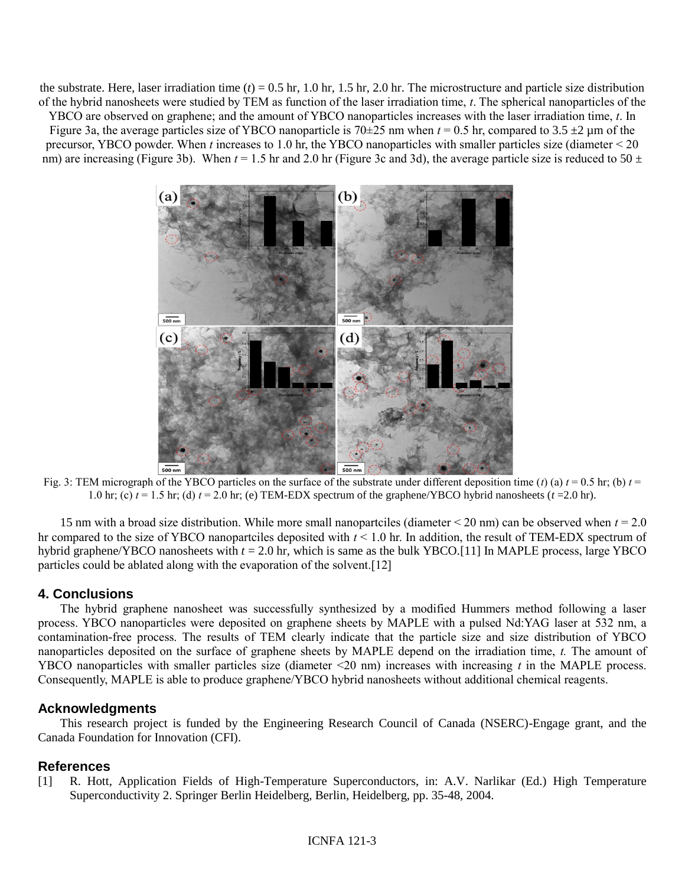the substrate. Here, laser irradiation time  $(t) = 0.5$  hr, 1.0 hr, 1.5 hr, 2.0 hr. The microstructure and particle size distribution of the hybrid nanosheets were studied by TEM as function of the laser irradiation time, *t*. The spherical nanoparticles of the

YBCO are observed on graphene; and the amount of YBCO nanoparticles increases with the laser irradiation time, *t*. In Figure 3a, the average particles size of YBCO nanoparticle is  $70\pm 25$  nm when  $t = 0.5$  hr, compared to 3.5  $\pm 2$  µm of the precursor, YBCO powder. When *t* increases to 1.0 hr, the YBCO nanoparticles with smaller particles size (diameter < 20 nm) are increasing (Figure 3b). When  $t = 1.5$  hr and 2.0 hr (Figure 3c and 3d), the average particle size is reduced to 50  $\pm$ 



Fig. 3: TEM micrograph of the YBCO particles on the surface of the substrate under different deposition time (*t*) (a)  $t = 0.5$  hr; (b)  $t =$ 1.0 hr; (c)  $t = 1.5$  hr; (d)  $t = 2.0$  hr; (e) TEM-EDX spectrum of the graphene/YBCO hybrid nanosheets ( $t = 2.0$  hr).

15 nm with a broad size distribution. While more small nanopartciles (diameter < 20 nm) can be observed when *t* = 2.0 hr compared to the size of YBCO nanopartciles deposited with *t* < 1.0 hr. In addition, the result of TEM-EDX spectrum of hybrid graphene/YBCO nanosheets with *t* = 2.0 hr, which is same as the bulk YBCO.[11] In MAPLE process, large YBCO particles could be ablated along with the evaporation of the solvent.[12]

## **4. Conclusions**

The hybrid graphene nanosheet was successfully synthesized by a modified Hummers method following a laser process. YBCO nanoparticles were deposited on graphene sheets by MAPLE with a pulsed Nd:YAG laser at 532 nm, a contamination-free process. The results of TEM clearly indicate that the particle size and size distribution of YBCO nanoparticles deposited on the surface of graphene sheets by MAPLE depend on the irradiation time, *t.* The amount of YBCO nanoparticles with smaller particles size (diameter <20 nm) increases with increasing *t* in the MAPLE process. Consequently, MAPLE is able to produce graphene/YBCO hybrid nanosheets without additional chemical reagents.

## **Acknowledgments**

This research project is funded by the Engineering Research Council of Canada (NSERC)-Engage grant, and the Canada Foundation for Innovation (CFI).

# **References**

[1] R. Hott, Application Fields of High-Temperature Superconductors, in: A.V. Narlikar (Ed.) High Temperature Superconductivity 2. Springer Berlin Heidelberg, Berlin, Heidelberg, pp. 35-48, 2004.